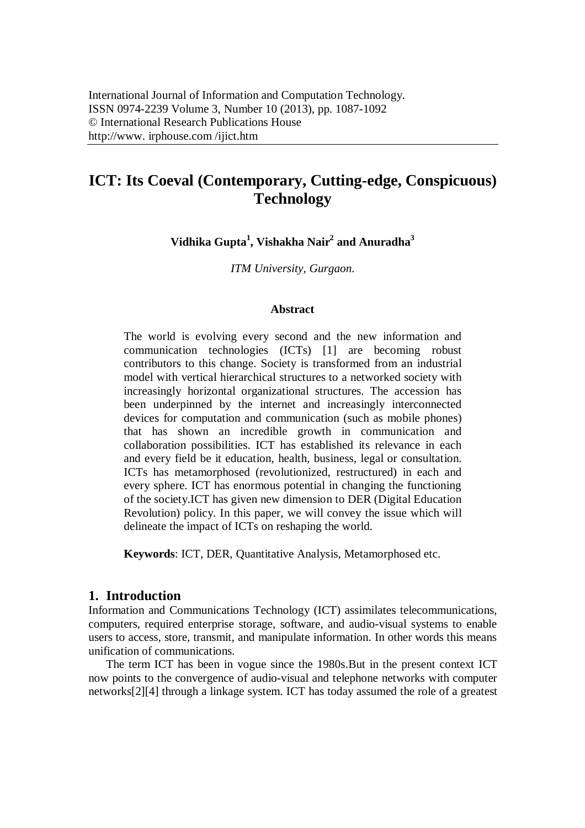# **ICT: Its Coeval (Contemporary, Cutting-edge, Conspicuous) Technology**

**Vidhika Gupta<sup>1</sup> , Vishakha Nair<sup>2</sup> and Anuradha<sup>3</sup>**

*ITM University, Gurgaon.*

#### **Abstract**

The world is evolving every second and the new information and communication technologies (ICTs) [1] are becoming robust contributors to this change. Society is transformed from an industrial model with vertical hierarchical structures to a networked society with increasingly horizontal organizational structures. The accession has been underpinned by the internet and increasingly interconnected devices for computation and communication (such as mobile phones) that has shown an incredible growth in communication and collaboration possibilities. ICT has established its relevance in each and every field be it education, health, business, legal or consultation. ICTs has metamorphosed (revolutionized, restructured) in each and every sphere. ICT has enormous potential in changing the functioning of the society.ICT has given new dimension to DER (Digital Education Revolution) policy. In this paper, we will convey the issue which will delineate the impact of ICTs on reshaping the world.

**Keywords**: ICT, DER, Quantitative Analysis, Metamorphosed etc.

## **1. Introduction**

Information and Communications Technology (ICT) assimilates telecommunications, computers, required enterprise storage, software, and audio-visual systems to enable users to access, store, transmit, and manipulate information. In other words this means unification of communications.

The term ICT has been in vogue since the 1980s.But in the present context ICT now points to the convergence of audio-visual and telephone networks with computer networks[2][4] through a linkage system. ICT has today assumed the role of a greatest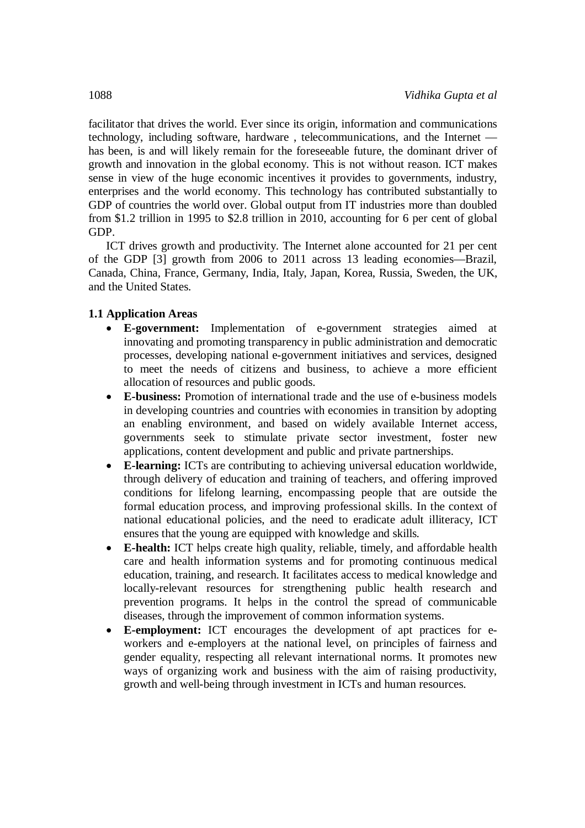facilitator that drives the world. Ever since its origin, information and communications technology, including software, hardware , telecommunications, and the Internet has been, is and will likely remain for the foreseeable future, the dominant driver of growth and innovation in the global economy. This is not without reason. ICT makes sense in view of the huge economic incentives it provides to governments, industry, enterprises and the world economy. This technology has contributed substantially to GDP of countries the world over. Global output from IT industries more than doubled from \$1.2 trillion in 1995 to \$2.8 trillion in 2010, accounting for 6 per cent of global GDP.

ICT drives growth and productivity. The Internet alone accounted for 21 per cent of the GDP [3] growth from 2006 to 2011 across 13 leading economies—Brazil, Canada, China, France, Germany, India, Italy, Japan, Korea, Russia, Sweden, the UK, and the United States.

#### **1.1 Application Areas**

- **E-government:** Implementation of e-government strategies aimed at innovating and promoting transparency in public administration and democratic processes, developing national e-government initiatives and services, designed to meet the needs of citizens and business, to achieve a more efficient allocation of resources and public goods.
- **E-business:** Promotion of international trade and the use of e-business models in developing countries and countries with economies in transition by adopting an enabling environment, and based on widely available Internet access, governments seek to stimulate private sector investment, foster new applications, content development and public and private partnerships.
- **E-learning:** ICTs are contributing to achieving universal education worldwide, through delivery of education and training of teachers, and offering improved conditions for lifelong learning, encompassing people that are outside the formal education process, and improving professional skills. In the context of national educational policies, and the need to eradicate adult illiteracy, ICT ensures that the young are equipped with knowledge and skills.
- **E-health:** ICT helps create high quality, reliable, timely, and affordable health care and health information systems and for promoting continuous medical education, training, and research. It facilitates access to medical knowledge and locally-relevant resources for strengthening public health research and prevention programs. It helps in the control the spread of communicable diseases, through the improvement of common information systems.
- **E-employment:** ICT encourages the development of apt practices for eworkers and e-employers at the national level, on principles of fairness and gender equality, respecting all relevant international norms. It promotes new ways of organizing work and business with the aim of raising productivity, growth and well-being through investment in ICTs and human resources.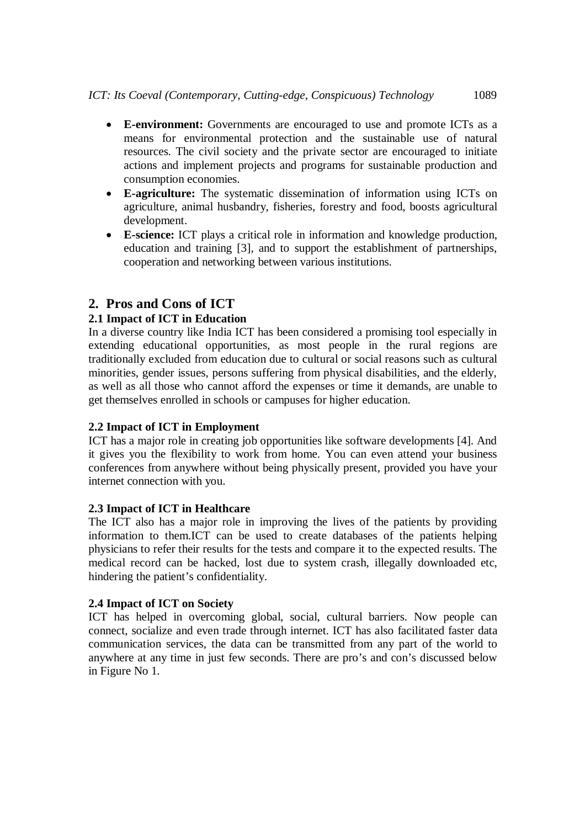- **E-environment:** Governments are encouraged to use and promote ICTs as a means for environmental protection and the sustainable use of natural resources. The civil society and the private sector are encouraged to initiate actions and implement projects and programs for sustainable production and consumption economies.
- **E-agriculture:** The systematic dissemination of information using ICTs on agriculture, animal husbandry, fisheries, forestry and food, boosts agricultural development.
- **E-science:** ICT plays a critical role in information and knowledge production, education and training [3], and to support the establishment of partnerships, cooperation and networking between various institutions.

# **2. Pros and Cons of ICT**

## **2.1 Impact of ICT in Education**

In a diverse country like India ICT has been considered a promising tool especially in extending educational opportunities, as most people in the rural regions are traditionally excluded from education due to cultural or social reasons such as cultural minorities, gender issues, persons suffering from physical disabilities, and the elderly, as well as all those who cannot afford the expenses or time it demands, are unable to get themselves enrolled in schools or campuses for higher education.

## **2.2 Impact of ICT in Employment**

ICT has a major role in creating job opportunities like software developments [4]. And it gives you the flexibility to work from home. You can even attend your business conferences from anywhere without being physically present, provided you have your internet connection with you.

#### **2.3 Impact of ICT in Healthcare**

The ICT also has a major role in improving the lives of the patients by providing information to them.ICT can be used to create databases of the patients helping physicians to refer their results for the tests and compare it to the expected results. The medical record can be hacked, lost due to system crash, illegally downloaded etc, hindering the patient's confidentiality.

#### **2.4 Impact of ICT on Society**

ICT has helped in overcoming global, social, cultural barriers. Now people can connect, socialize and even trade through internet. ICT has also facilitated faster data communication services, the data can be transmitted from any part of the world to anywhere at any time in just few seconds. There are pro's and con's discussed below in Figure No 1.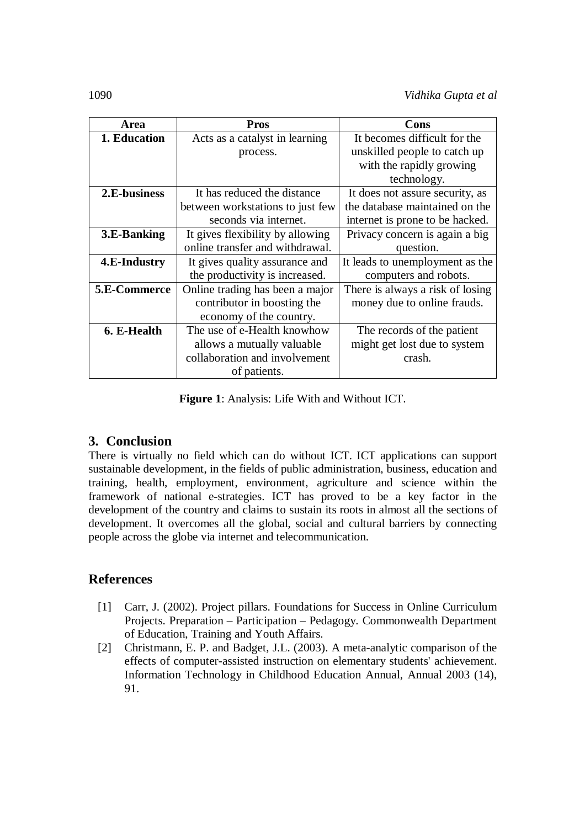| Area         | <b>Pros</b>                      | Cons                             |
|--------------|----------------------------------|----------------------------------|
| 1. Education | Acts as a catalyst in learning   | It becomes difficult for the     |
|              | process.                         | unskilled people to catch up     |
|              |                                  | with the rapidly growing         |
|              |                                  | technology.                      |
| 2.E-business | It has reduced the distance      | It does not assure security, as  |
|              | between workstations to just few | the database maintained on the   |
|              | seconds via internet.            | internet is prone to be hacked.  |
| 3.E-Banking  | It gives flexibility by allowing | Privacy concern is again a big   |
|              | online transfer and withdrawal.  | question.                        |
| 4.E-Industry | It gives quality assurance and   | It leads to unemployment as the  |
|              | the productivity is increased.   | computers and robots.            |
| 5.E-Commerce | Online trading has been a major  | There is always a risk of losing |
|              | contributor in boosting the      | money due to online frauds.      |
|              | economy of the country.          |                                  |
| 6. E-Health  | The use of e-Health knowhow      | The records of the patient       |
|              | allows a mutually valuable       | might get lost due to system     |
|              | collaboration and involvement    | crash.                           |
|              | of patients.                     |                                  |

**Figure 1**: Analysis: Life With and Without ICT.

# **3. Conclusion**

There is virtually no field which can do without ICT. ICT applications can support sustainable development, in the fields of public administration, business, education and training, health, employment, environment, agriculture and science within the framework of national e-strategies. ICT has proved to be a key factor in the development of the country and claims to sustain its roots in almost all the sections of development. It overcomes all the global, social and cultural barriers by connecting people across the globe via internet and telecommunication.

# **References**

- [1] Carr, J. (2002). Project pillars. Foundations for Success in Online Curriculum Projects. Preparation – Participation – Pedagogy. Commonwealth Department of Education, Training and Youth Affairs.
- [2] Christmann, E. P. and Badget, J.L. (2003). A meta-analytic comparison of the effects of computer-assisted instruction on elementary students' achievement. Information Technology in Childhood Education Annual, Annual 2003 (14), 91.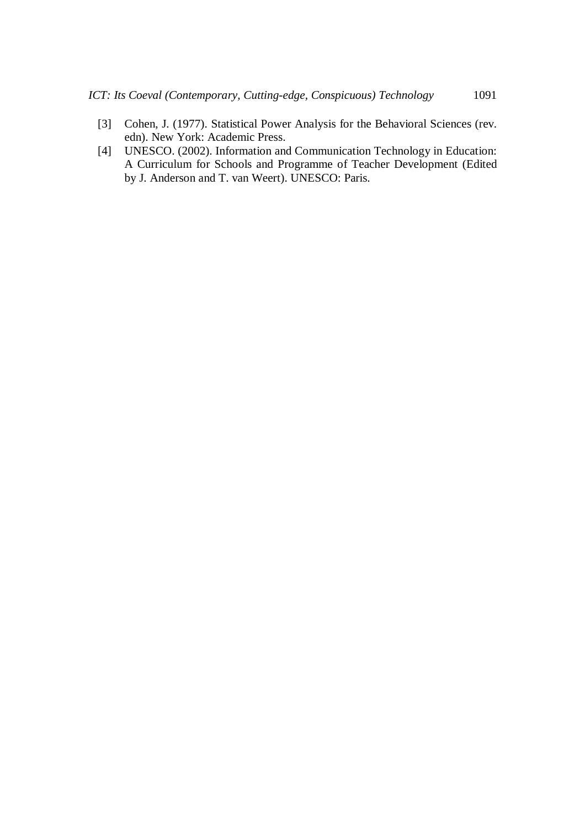- [3] Cohen, J. (1977). Statistical Power Analysis for the Behavioral Sciences (rev. edn). New York: Academic Press.
- [4] UNESCO. (2002). Information and Communication Technology in Education: A Curriculum for Schools and Programme of Teacher Development (Edited by J. Anderson and T. van Weert). UNESCO: Paris.